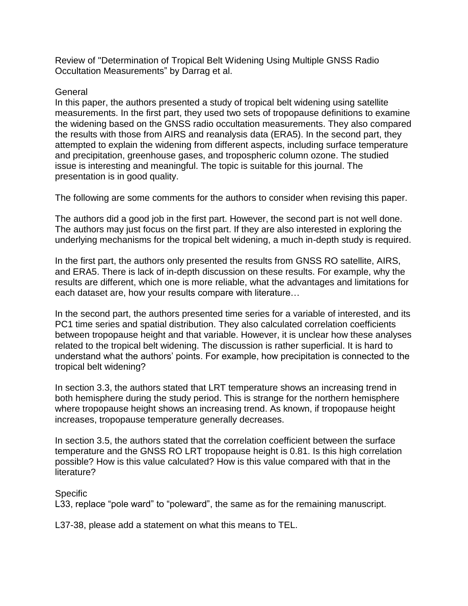Review of "Determination of Tropical Belt Widening Using Multiple GNSS Radio Occultation Measurements" by Darrag et al.

## General

In this paper, the authors presented a study of tropical belt widening using satellite measurements. In the first part, they used two sets of tropopause definitions to examine the widening based on the GNSS radio occultation measurements. They also compared the results with those from AIRS and reanalysis data (ERA5). In the second part, they attempted to explain the widening from different aspects, including surface temperature and precipitation, greenhouse gases, and tropospheric column ozone. The studied issue is interesting and meaningful. The topic is suitable for this journal. The presentation is in good quality.

The following are some comments for the authors to consider when revising this paper.

The authors did a good job in the first part. However, the second part is not well done. The authors may just focus on the first part. If they are also interested in exploring the underlying mechanisms for the tropical belt widening, a much in-depth study is required.

In the first part, the authors only presented the results from GNSS RO satellite, AIRS, and ERA5. There is lack of in-depth discussion on these results. For example, why the results are different, which one is more reliable, what the advantages and limitations for each dataset are, how your results compare with literature…

In the second part, the authors presented time series for a variable of interested, and its PC1 time series and spatial distribution. They also calculated correlation coefficients between tropopause height and that variable. However, it is unclear how these analyses related to the tropical belt widening. The discussion is rather superficial. It is hard to understand what the authors' points. For example, how precipitation is connected to the tropical belt widening?

In section 3.3, the authors stated that LRT temperature shows an increasing trend in both hemisphere during the study period. This is strange for the northern hemisphere where tropopause height shows an increasing trend. As known, if tropopause height increases, tropopause temperature generally decreases.

In section 3.5, the authors stated that the correlation coefficient between the surface temperature and the GNSS RO LRT tropopause height is 0.81. Is this high correlation possible? How is this value calculated? How is this value compared with that in the literature?

## **Specific**

L33, replace "pole ward" to "poleward", the same as for the remaining manuscript.

L37-38, please add a statement on what this means to TEL.